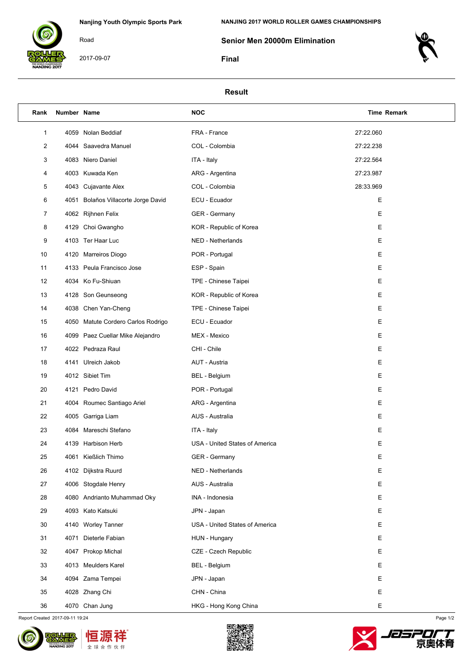

2017-09-07

Road

**NANJING 2017 WORLD ROLLER GAMES CHAMPIONSHIPS**

**Senior Men 20000m Elimination**

**Final**



## **Result**

| Rank | Number Name |                                     | <b>NOC</b>                     | <b>Time Remark</b> |
|------|-------------|-------------------------------------|--------------------------------|--------------------|
| 1    |             | 4059 Nolan Beddiaf                  | FRA - France                   | 27:22.060          |
| 2    |             | 4044 Saavedra Manuel                | COL - Colombia                 | 27:22.238          |
| 3    |             | 4083 Niero Daniel                   | ITA - Italy                    | 27:22.564          |
| 4    |             | 4003 Kuwada Ken                     | ARG - Argentina                | 27:23.987          |
| 5    |             | 4043 Cujavante Alex                 | COL - Colombia                 | 28:33.969          |
| 6    |             | 4051 Bolaños Villacorte Jorge David | ECU - Ecuador                  | Ε                  |
| 7    |             | 4062 Rijhnen Felix                  | GER - Germany                  | Е                  |
| 8    |             | 4129 Choi Gwangho                   | KOR - Republic of Korea        | Е                  |
| 9    |             | 4103 Ter Haar Luc                   | NED - Netherlands              | Ε                  |
| 10   |             | 4120 Marreiros Diogo                | POR - Portugal                 | Е                  |
| 11   |             | 4133 Peula Francisco Jose           | ESP - Spain                    | Ε                  |
| 12   |             | 4034 Ko Fu-Shiuan                   | TPE - Chinese Taipei           | Ε                  |
| 13   |             | 4128 Son Geunseong                  | KOR - Republic of Korea        | Е                  |
| 14   |             | 4038 Chen Yan-Cheng                 | TPE - Chinese Taipei           | Ε                  |
| 15   |             | 4050 Matute Cordero Carlos Rodrigo  | ECU - Ecuador                  | Ε                  |
| 16   |             | 4099 Paez Cuellar Mike Alejandro    | MEX - Mexico                   | Е                  |
| 17   |             | 4022 Pedraza Raul                   | CHI - Chile                    | Ε                  |
| 18   |             | 4141 Ulreich Jakob                  | AUT - Austria                  | Ε                  |
| 19   |             | 4012 Sibiet Tim                     | <b>BEL</b> - Belgium           | Е                  |
| 20   |             | 4121 Pedro David                    | POR - Portugal                 | Ε                  |
| 21   |             | 4004 Roumec Santiago Ariel          | ARG - Argentina                | Е                  |
| 22   |             | 4005 Garriga Liam                   | AUS - Australia                | Е                  |
| 23   |             | 4084 Mareschi Stefano               | ITA - Italy                    | Ε                  |
| 24   |             | 4139 Harbison Herb                  | USA - United States of America | Ε                  |
| 25   |             | 4061 Kießlich Thimo                 | GER - Germany                  | Ε                  |
| 26   |             | 4102 Dijkstra Ruurd                 | NED - Netherlands              | Е                  |
| 27   |             | 4006 Stogdale Henry                 | AUS - Australia                | Е                  |
| 28   |             | 4080 Andrianto Muhammad Oky         | INA - Indonesia                | Е                  |
| 29   |             | 4093 Kato Katsuki                   | JPN - Japan                    | Е                  |
| 30   |             | 4140 Worley Tanner                  | USA - United States of America | Е                  |
| 31   | 4071        | Dieterle Fabian                     | HUN - Hungary                  | Е                  |
| 32   |             | 4047 Prokop Michal                  | CZE - Czech Republic           | Е                  |
| 33   |             | 4013 Meulders Karel                 | <b>BEL</b> - Belgium           | Ε                  |
| 34   |             | 4094 Zama Tempei                    | JPN - Japan                    | Е                  |
| 35   |             | 4028 Zhang Chi                      | CHN - China                    | Е                  |
| 36   |             | 4070 Chan Jung                      | HKG - Hong Kong China          | Ε                  |

Report Created 2017-09-11 19:24 Page 1/2